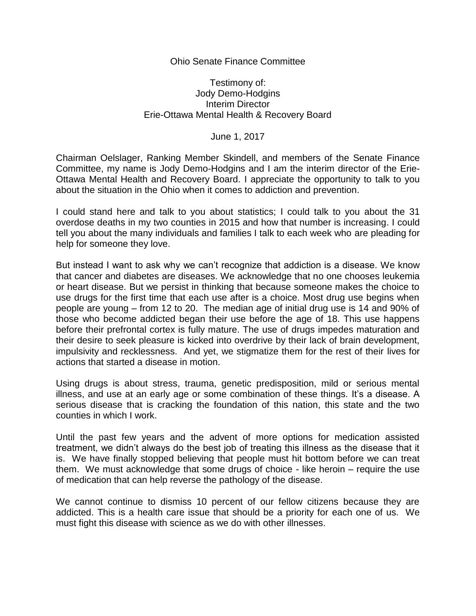## Ohio Senate Finance Committee

## Testimony of: Jody Demo-Hodgins Interim Director Erie-Ottawa Mental Health & Recovery Board

## June 1, 2017

Chairman Oelslager, Ranking Member Skindell, and members of the Senate Finance Committee, my name is Jody Demo-Hodgins and I am the interim director of the Erie-Ottawa Mental Health and Recovery Board. I appreciate the opportunity to talk to you about the situation in the Ohio when it comes to addiction and prevention.

I could stand here and talk to you about statistics; I could talk to you about the 31 overdose deaths in my two counties in 2015 and how that number is increasing. I could tell you about the many individuals and families I talk to each week who are pleading for help for someone they love.

But instead I want to ask why we can't recognize that addiction is a disease. We know that cancer and diabetes are diseases. We acknowledge that no one chooses leukemia or heart disease. But we persist in thinking that because someone makes the choice to use drugs for the first time that each use after is a choice. Most drug use begins when people are young – from 12 to 20. The median age of initial drug use is 14 and 90% of those who become addicted began their use before the age of 18. This use happens before their prefrontal cortex is fully mature. The use of drugs impedes maturation and their desire to seek pleasure is kicked into overdrive by their lack of brain development, impulsivity and recklessness. And yet, we stigmatize them for the rest of their lives for actions that started a disease in motion.

Using drugs is about stress, trauma, genetic predisposition, mild or serious mental illness, and use at an early age or some combination of these things. It's a disease. A serious disease that is cracking the foundation of this nation, this state and the two counties in which I work.

Until the past few years and the advent of more options for medication assisted treatment, we didn't always do the best job of treating this illness as the disease that it is. We have finally stopped believing that people must hit bottom before we can treat them. We must acknowledge that some drugs of choice - like heroin – require the use of medication that can help reverse the pathology of the disease.

We cannot continue to dismiss 10 percent of our fellow citizens because they are addicted. This is a health care issue that should be a priority for each one of us. We must fight this disease with science as we do with other illnesses.